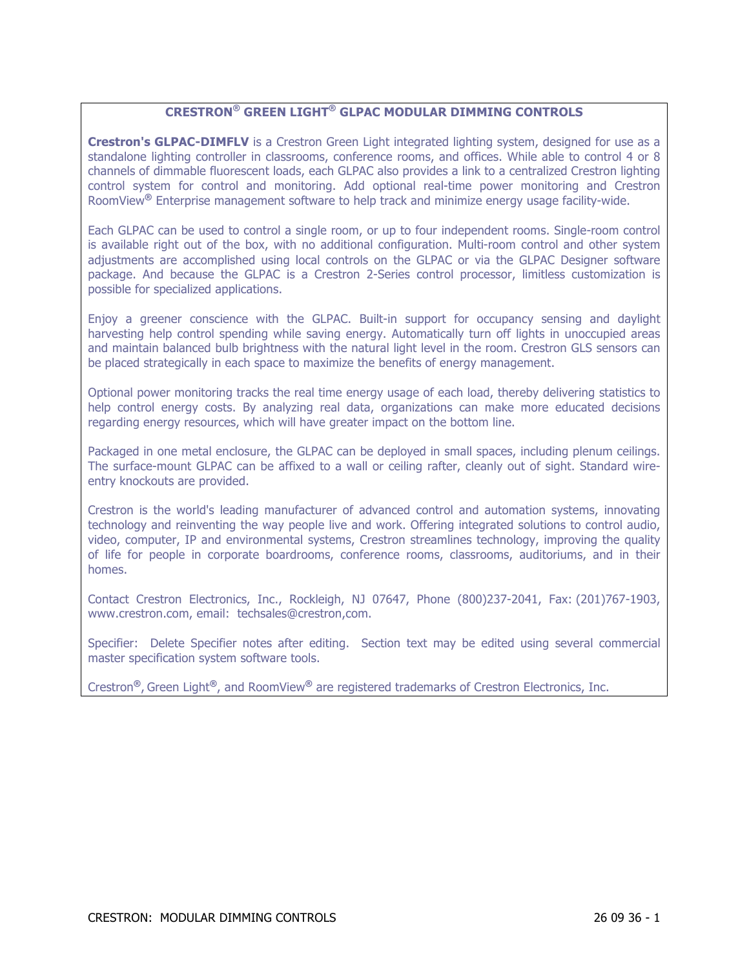# **CRESTRON® GREEN LIGHT® GLPAC MODULAR DIMMING CONTROLS**

**Crestron's GLPAC-DIMFLV** is a Crestron Green Light integrated lighting system, designed for use as a standalone lighting controller in classrooms, conference rooms, and offices. While able to control 4 or 8 channels of dimmable fluorescent loads, each GLPAC also provides a link to a centralized Crestron lighting control system for control and monitoring. Add optional real-time power monitoring and Crestron RoomView**®** Enterprise management software to help track and minimize energy usage facility-wide.

Each GLPAC can be used to control a single room, or up to four independent rooms. Single-room control is available right out of the box, with no additional configuration. Multi-room control and other system adjustments are accomplished using local controls on the GLPAC or via the GLPAC Designer software package. And because the GLPAC is a Crestron 2-Series control processor, limitless customization is possible for specialized applications.

Enjoy a greener conscience with the GLPAC. Built-in support for occupancy sensing and daylight harvesting help control spending while saving energy. Automatically turn off lights in unoccupied areas and maintain balanced bulb brightness with the natural light level in the room. Crestron GLS sensors can be placed strategically in each space to maximize the benefits of energy management.

Optional power monitoring tracks the real time energy usage of each load, thereby delivering statistics to help control energy costs. By analyzing real data, organizations can make more educated decisions regarding energy resources, which will have greater impact on the bottom line.

Packaged in one metal enclosure, the GLPAC can be deployed in small spaces, including plenum ceilings. The surface-mount GLPAC can be affixed to a wall or ceiling rafter, cleanly out of sight. Standard wireentry knockouts are provided.

Crestron is the world's leading manufacturer of advanced control and automation systems, innovating technology and reinventing the way people live and work. Offering integrated solutions to control audio, video, computer, IP and environmental systems, Crestron streamlines technology, improving the quality of life for people in corporate boardrooms, conference rooms, classrooms, auditoriums, and in their homes.

Contact Crestron Electronics, Inc., Rockleigh, NJ 07647, Phone (800)237-2041, Fax: (201)767-1903, www.crestron.com, email: techsales@crestron,com.

Specifier: Delete Specifier notes after editing. Section text may be edited using several commercial master specification system software tools.

Crestron**®**, Green Light**®**, and RoomView**®** are registered trademarks of Crestron Electronics, Inc.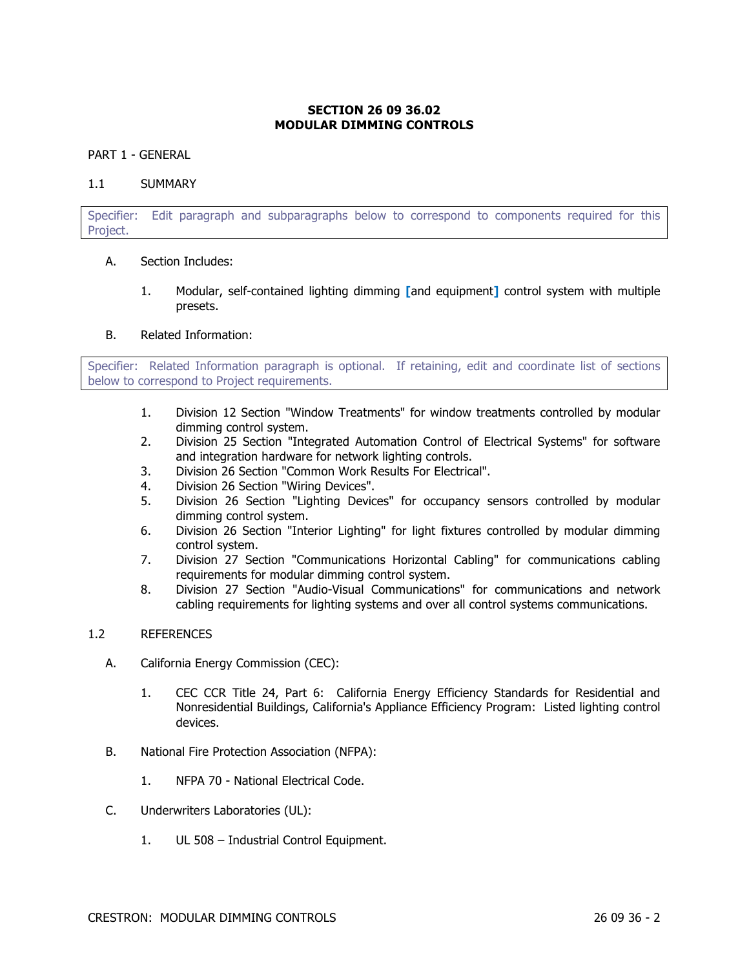## **SECTION 26 09 36.02 MODULAR DIMMING CONTROLS**

#### PART 1 - GENERAL

#### 1.1 SUMMARY

Specifier: Edit paragraph and subparagraphs below to correspond to components required for this Project.

### A. Section Includes:

1. Modular, self-contained lighting dimming **[**and equipment**]** control system with multiple presets.

#### B. Related Information:

Specifier: Related Information paragraph is optional. If retaining, edit and coordinate list of sections below to correspond to Project requirements.

- 1. Division 12 Section "Window Treatments" for window treatments controlled by modular dimming control system.
- 2. Division 25 Section "Integrated Automation Control of Electrical Systems" for software and integration hardware for network lighting controls.
- 3. Division 26 Section "Common Work Results For Electrical".
- 4. Division 26 Section "Wiring Devices".
- 5. Division 26 Section "Lighting Devices" for occupancy sensors controlled by modular dimming control system.
- 6. Division 26 Section "Interior Lighting" for light fixtures controlled by modular dimming control system.
- 7. Division 27 Section "Communications Horizontal Cabling" for communications cabling requirements for modular dimming control system.
- 8. Division 27 Section "Audio-Visual Communications" for communications and network cabling requirements for lighting systems and over all control systems communications.

### 1.2 REFERENCES

- A. California Energy Commission (CEC):
	- 1. CEC CCR Title 24, Part 6: California Energy Efficiency Standards for Residential and Nonresidential Buildings, California's Appliance Efficiency Program: Listed lighting control devices.
- B. National Fire Protection Association (NFPA):
	- 1. NFPA 70 National Electrical Code.
- C. Underwriters Laboratories (UL):
	- 1. UL 508 Industrial Control Equipment.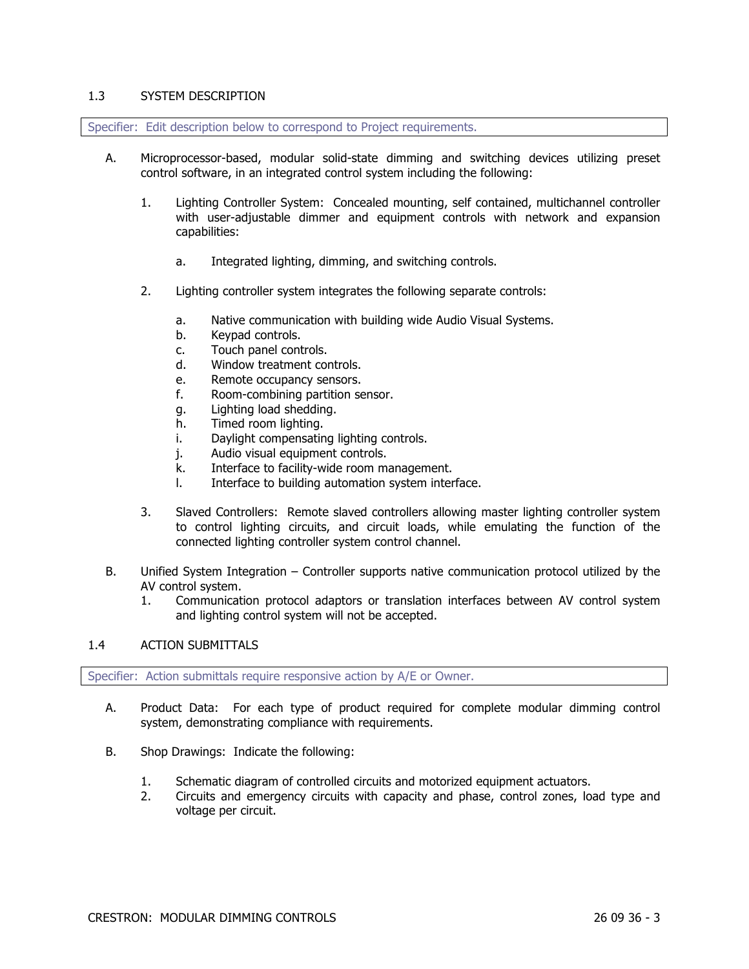### 1.3 SYSTEM DESCRIPTION

Specifier: Edit description below to correspond to Project requirements.

- A. Microprocessor-based, modular solid-state dimming and switching devices utilizing preset control software, in an integrated control system including the following:
	- 1. Lighting Controller System: Concealed mounting, self contained, multichannel controller with user-adjustable dimmer and equipment controls with network and expansion capabilities:
		- a. Integrated lighting, dimming, and switching controls.
	- 2. Lighting controller system integrates the following separate controls:
		- a. Native communication with building wide Audio Visual Systems.
		- b. Keypad controls.
		- c. Touch panel controls.
		- d. Window treatment controls.
		- e. Remote occupancy sensors.
		- f. Room-combining partition sensor.
		- g. Lighting load shedding.
		- h. Timed room lighting.
		- i. Daylight compensating lighting controls.
		- j. Audio visual equipment controls.
		- k. Interface to facility-wide room management.
		- l. Interface to building automation system interface.
	- 3. Slaved Controllers: Remote slaved controllers allowing master lighting controller system to control lighting circuits, and circuit loads, while emulating the function of the connected lighting controller system control channel.
- B. Unified System Integration Controller supports native communication protocol utilized by the AV control system.
	- 1. Communication protocol adaptors or translation interfaces between AV control system and lighting control system will not be accepted.

### 1.4 ACTION SUBMITTALS

Specifier: Action submittals require responsive action by A/E or Owner.

- A. Product Data: For each type of product required for complete modular dimming control system, demonstrating compliance with requirements.
- B. Shop Drawings: Indicate the following:
	- 1. Schematic diagram of controlled circuits and motorized equipment actuators.
	- 2. Circuits and emergency circuits with capacity and phase, control zones, load type and voltage per circuit.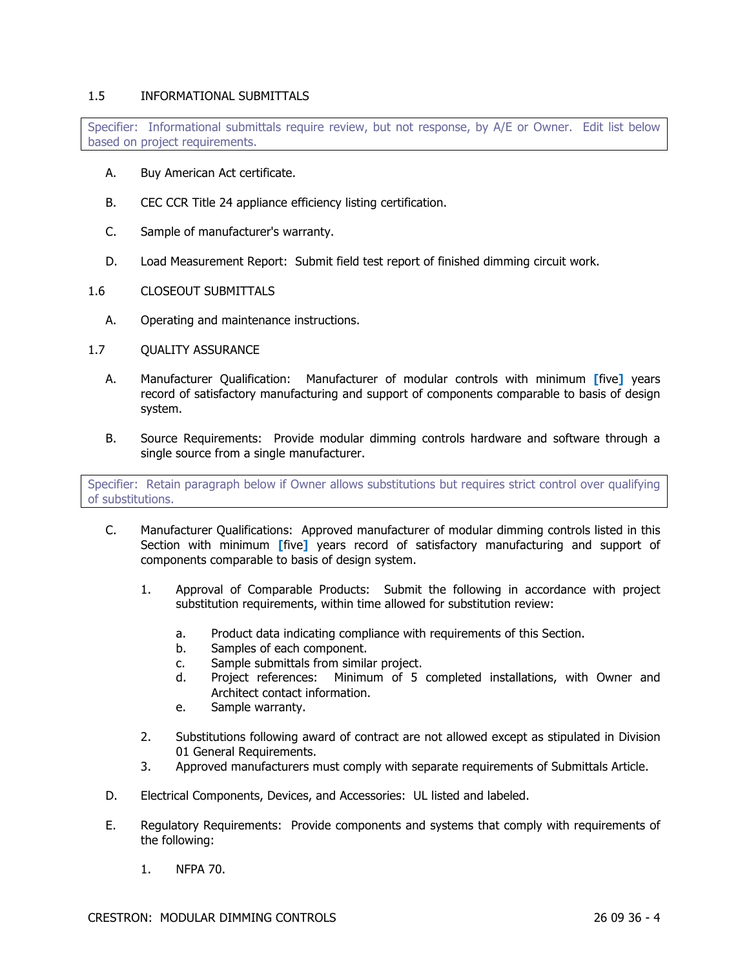### 1.5 INFORMATIONAL SUBMITTALS

Specifier: Informational submittals require review, but not response, by A/E or Owner. Edit list below based on project requirements.

- A. Buy American Act certificate.
- B. CEC CCR Title 24 appliance efficiency listing certification.
- C. Sample of manufacturer's warranty.
- D. Load Measurement Report: Submit field test report of finished dimming circuit work.
- 1.6 CLOSEOUT SUBMITTALS
	- A. Operating and maintenance instructions.
- 1.7 QUALITY ASSURANCE
	- A. Manufacturer Qualification: Manufacturer of modular controls with minimum **[**five**]** years record of satisfactory manufacturing and support of components comparable to basis of design system.
	- B. Source Requirements: Provide modular dimming controls hardware and software through a single source from a single manufacturer.

Specifier: Retain paragraph below if Owner allows substitutions but requires strict control over qualifying of substitutions.

- C. Manufacturer Qualifications: Approved manufacturer of modular dimming controls listed in this Section with minimum **[**five**]** years record of satisfactory manufacturing and support of components comparable to basis of design system.
	- 1. Approval of Comparable Products: Submit the following in accordance with project substitution requirements, within time allowed for substitution review:
		- a. Product data indicating compliance with requirements of this Section.
		- b. Samples of each component.
		- c. Sample submittals from similar project.
		- d. Project references: Minimum of 5 completed installations, with Owner and Architect contact information.
		- e. Sample warranty.
	- 2. Substitutions following award of contract are not allowed except as stipulated in Division 01 General Requirements.
	- 3. Approved manufacturers must comply with separate requirements of Submittals Article.
- D. Electrical Components, Devices, and Accessories: UL listed and labeled.
- E. Regulatory Requirements: Provide components and systems that comply with requirements of the following:
	- 1. NFPA 70.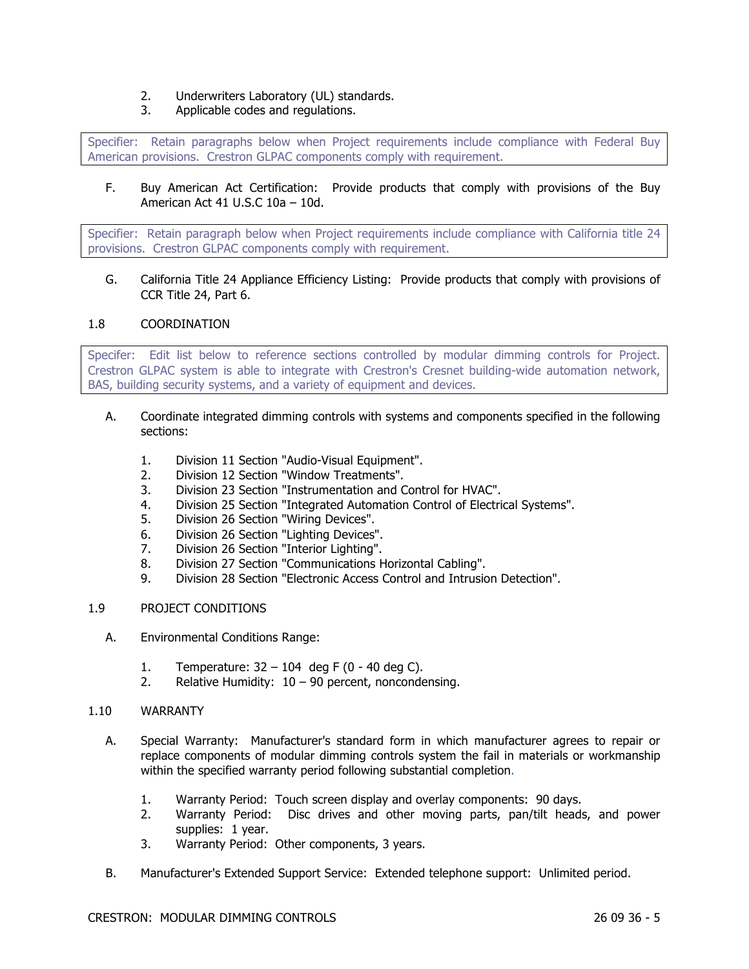- 2. Underwriters Laboratory (UL) standards.
- 3. Applicable codes and regulations.

Specifier: Retain paragraphs below when Project requirements include compliance with Federal Buy American provisions. Crestron GLPAC components comply with requirement.

F. Buy American Act Certification: Provide products that comply with provisions of the Buy American Act 41 U.S.C 10a – 10d.

Specifier: Retain paragraph below when Project requirements include compliance with California title 24 provisions. Crestron GLPAC components comply with requirement.

G. California Title 24 Appliance Efficiency Listing: Provide products that comply with provisions of CCR Title 24, Part 6.

### 1.8 COORDINATION

Specifer: Edit list below to reference sections controlled by modular dimming controls for Project. Crestron GLPAC system is able to integrate with Crestron's Cresnet building-wide automation network, BAS, building security systems, and a variety of equipment and devices.

- A. Coordinate integrated dimming controls with systems and components specified in the following sections:
	- 1. Division 11 Section "Audio-Visual Equipment".
	- 2. Division 12 Section "Window Treatments".
	- 3. Division 23 Section "Instrumentation and Control for HVAC".
	- 4. Division 25 Section "Integrated Automation Control of Electrical Systems".
	- 5. Division 26 Section "Wiring Devices".
	- 6. Division 26 Section "Lighting Devices".
	- 7. Division 26 Section "Interior Lighting".
	- 8. Division 27 Section "Communications Horizontal Cabling".
	- 9. Division 28 Section "Electronic Access Control and Intrusion Detection".

## 1.9 PROJECT CONDITIONS

- A. Environmental Conditions Range:
	- 1. Temperature: 32 104 deg F (0 40 deg C).
	- 2. Relative Humidity:  $10 90$  percent, noncondensing.

### 1.10 WARRANTY

- A. Special Warranty: Manufacturer's standard form in which manufacturer agrees to repair or replace components of modular dimming controls system the fail in materials or workmanship within the specified warranty period following substantial completion.
	- 1. Warranty Period: Touch screen display and overlay components: 90 days.
	- 2. Warranty Period: Disc drives and other moving parts, pan/tilt heads, and power supplies: 1 year.
	- 3. Warranty Period: Other components, 3 years.
- B. Manufacturer's Extended Support Service: Extended telephone support: Unlimited period.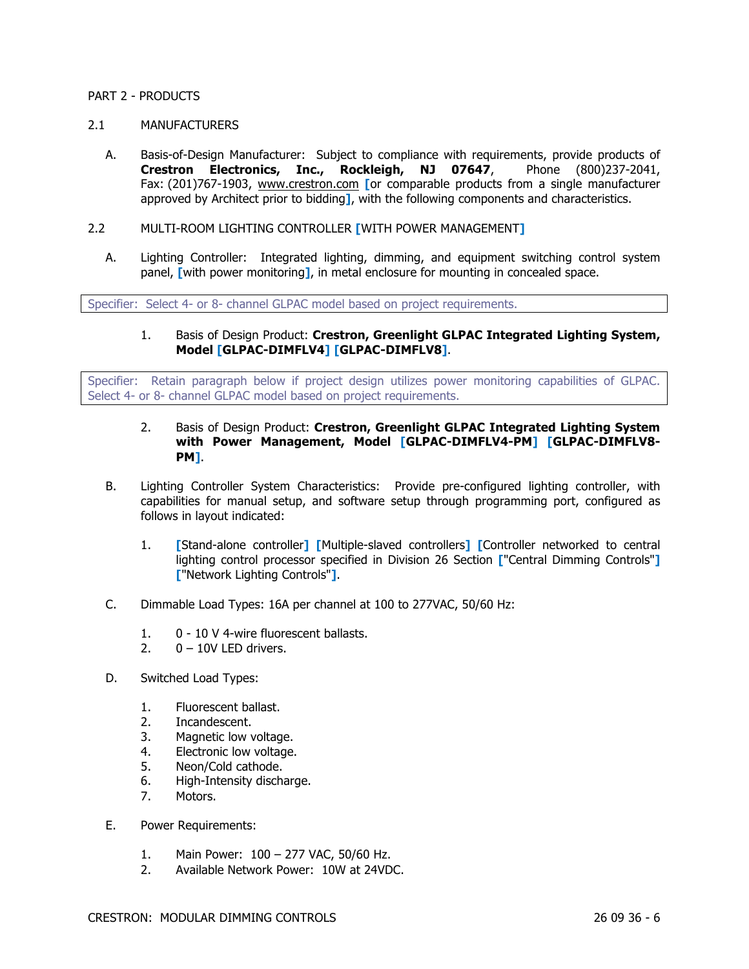### PART 2 - PRODUCTS

### 2.1 MANUFACTURERS

- A. Basis-of-Design Manufacturer: Subject to compliance with requirements, provide products of **Crestron Electronics, Inc., Rockleigh, NJ 07647**, Phone (800)237-2041, Fax: (201)767-1903, www.crestron.com **[**or comparable products from a single manufacturer approved by Architect prior to bidding**]**, with the following components and characteristics.
- 2.2 MULTI-ROOM LIGHTING CONTROLLER **[**WITH POWER MANAGEMENT**]**
	- A. Lighting Controller: Integrated lighting, dimming, and equipment switching control system panel, **[**with power monitoring**]**, in metal enclosure for mounting in concealed space.

Specifier: Select 4- or 8- channel GLPAC model based on project requirements.

1. Basis of Design Product: **Crestron, Greenlight GLPAC Integrated Lighting System, Model [GLPAC-DIMFLV4] [GLPAC-DIMFLV8]**.

Specifier: Retain paragraph below if project design utilizes power monitoring capabilities of GLPAC. Select 4- or 8- channel GLPAC model based on project requirements.

### 2. Basis of Design Product: **Crestron, Greenlight GLPAC Integrated Lighting System with Power Management, Model [GLPAC-DIMFLV4-PM] [GLPAC-DIMFLV8- PM]**.

- B. Lighting Controller System Characteristics: Provide pre-configured lighting controller, with capabilities for manual setup, and software setup through programming port, configured as follows in layout indicated:
	- 1. **[**Stand-alone controller**] [**Multiple-slaved controllers**] [**Controller networked to central lighting control processor specified in Division 26 Section **[**"Central Dimming Controls"**] [**"Network Lighting Controls"**]**.
- C. Dimmable Load Types: 16A per channel at 100 to 277VAC, 50/60 Hz:
	- 1. 0 10 V 4-wire fluorescent ballasts.
	- 2.  $0 10V$  LED drivers.
- D. Switched Load Types:
	- 1. Fluorescent ballast.
	- 2. Incandescent.
	- 3. Magnetic low voltage.
	- 4. Electronic low voltage.
	- 5. Neon/Cold cathode.
	- 6. High-Intensity discharge.
	- 7. Motors.
- E. Power Requirements:
	- 1. Main Power: 100 277 VAC, 50/60 Hz.
	- 2. Available Network Power: 10W at 24VDC.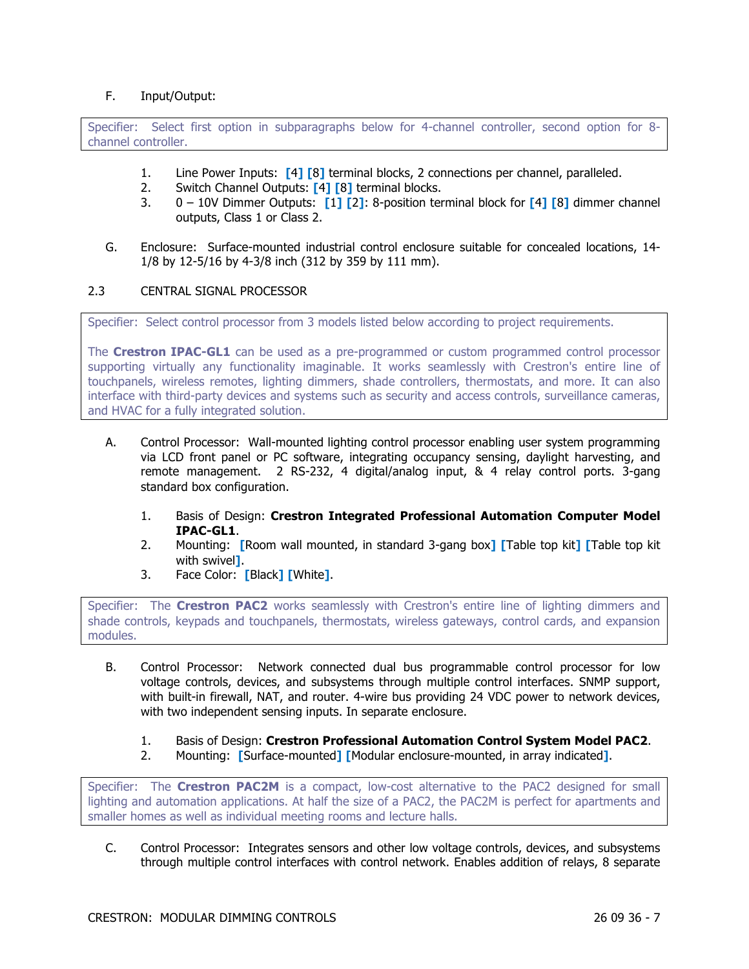## F. Input/Output:

Specifier: Select first option in subparagraphs below for 4-channel controller, second option for 8 channel controller.

- 1. Line Power Inputs: **[**4**] [**8**]** terminal blocks, 2 connections per channel, paralleled.
- 2. Switch Channel Outputs: **[**4**] [**8**]** terminal blocks.
- 3. 0 10V Dimmer Outputs: **[**1**] [**2**]**: 8-position terminal block for **[**4**] [**8**]** dimmer channel outputs, Class 1 or Class 2.
- G. Enclosure: Surface-mounted industrial control enclosure suitable for concealed locations, 14- 1/8 by 12-5/16 by 4-3/8 inch (312 by 359 by 111 mm).

### 2.3 CENTRAL SIGNAL PROCESSOR

Specifier: Select control processor from 3 models listed below according to project requirements.

The **Crestron IPAC-GL1** can be used as a pre-programmed or custom programmed control processor supporting virtually any functionality imaginable. It works seamlessly with Crestron's entire line of touchpanels, wireless remotes, lighting dimmers, shade controllers, thermostats, and more. It can also interface with third-party devices and systems such as security and access controls, surveillance cameras, and HVAC for a fully integrated solution.

- A. Control Processor: Wall-mounted lighting control processor enabling user system programming via LCD front panel or PC software, integrating occupancy sensing, daylight harvesting, and remote management. 2 RS-232, 4 digital/analog input, & 4 relay control ports. 3-gang standard box configuration.
	- 1. Basis of Design: **Crestron Integrated Professional Automation Computer Model IPAC-GL1**.
	- 2. Mounting: **[**Room wall mounted, in standard 3-gang box**] [**Table top kit**] [**Table top kit with swivel**]**.
	- 3. Face Color: **[**Black**] [**White**]**.

Specifier: The **Crestron PAC2** works seamlessly with Crestron's entire line of lighting dimmers and shade controls, keypads and touchpanels, thermostats, wireless gateways, control cards, and expansion modules.

- B. Control Processor: Network connected dual bus programmable control processor for low voltage controls, devices, and subsystems through multiple control interfaces. SNMP support, with built-in firewall, NAT, and router. 4-wire bus providing 24 VDC power to network devices, with two independent sensing inputs. In separate enclosure.
	- 1. Basis of Design: **Crestron Professional Automation Control System Model PAC2**.
	- 2. Mounting: **[**Surface-mounted**] [**Modular enclosure-mounted, in array indicated**]**.

Specifier: The **Crestron PAC2M** is a compact, low-cost alternative to the PAC2 designed for small lighting and automation applications. At half the size of a PAC2, the PAC2M is perfect for apartments and smaller homes as well as individual meeting rooms and lecture halls.

C. Control Processor: Integrates sensors and other low voltage controls, devices, and subsystems through multiple control interfaces with control network. Enables addition of relays, 8 separate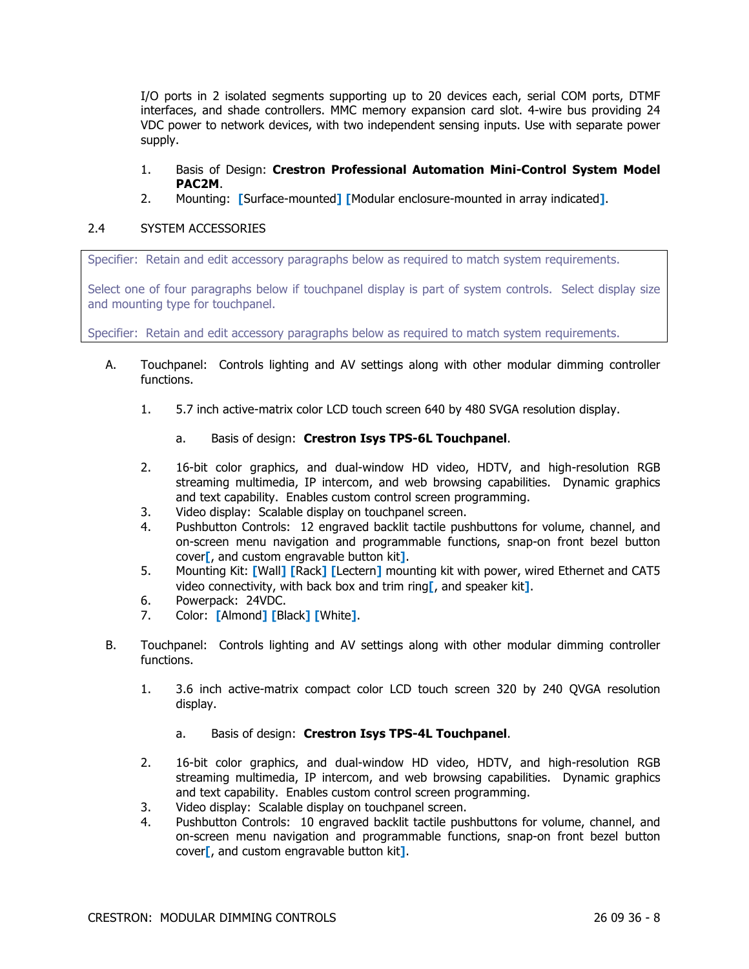I/O ports in 2 isolated segments supporting up to 20 devices each, serial COM ports, DTMF interfaces, and shade controllers. MMC memory expansion card slot. 4-wire bus providing 24 VDC power to network devices, with two independent sensing inputs. Use with separate power supply.

## 1. Basis of Design: **Crestron Professional Automation Mini-Control System Model PAC2M**.

2. Mounting: **[**Surface-mounted**] [**Modular enclosure-mounted in array indicated**]**.

## 2.4 SYSTEM ACCESSORIES

Specifier: Retain and edit accessory paragraphs below as required to match system requirements.

Select one of four paragraphs below if touchpanel display is part of system controls. Select display size and mounting type for touchpanel.

Specifier: Retain and edit accessory paragraphs below as required to match system requirements.

- A. Touchpanel: Controls lighting and AV settings along with other modular dimming controller functions.
	- 1. 5.7 inch active-matrix color LCD touch screen 640 by 480 SVGA resolution display.
		- a. Basis of design: **Crestron Isys TPS-6L Touchpanel**.
	- 2. 16-bit color graphics, and dual-window HD video, HDTV, and high-resolution RGB streaming multimedia, IP intercom, and web browsing capabilities. Dynamic graphics and text capability. Enables custom control screen programming.
	- 3. Video display: Scalable display on touchpanel screen.
	- 4. Pushbutton Controls: 12 engraved backlit tactile pushbuttons for volume, channel, and on-screen menu navigation and programmable functions, snap-on front bezel button cover**[**, and custom engravable button kit**]**.
	- 5. Mounting Kit: **[**Wall**] [**Rack**] [**Lectern**]** mounting kit with power, wired Ethernet and CAT5 video connectivity, with back box and trim ring**[**, and speaker kit**]**.
	- 6. Powerpack: 24VDC.
	- 7. Color: **[**Almond**] [**Black**] [**White**]**.
- B. Touchpanel: Controls lighting and AV settings along with other modular dimming controller functions.
	- 1. 3.6 inch active-matrix compact color LCD touch screen 320 by 240 QVGA resolution display.
		- a. Basis of design: **Crestron Isys TPS-4L Touchpanel**.
	- 2. 16-bit color graphics, and dual-window HD video, HDTV, and high-resolution RGB streaming multimedia, IP intercom, and web browsing capabilities. Dynamic graphics and text capability. Enables custom control screen programming.
	- 3. Video display: Scalable display on touchpanel screen.
	- 4. Pushbutton Controls: 10 engraved backlit tactile pushbuttons for volume, channel, and on-screen menu navigation and programmable functions, snap-on front bezel button cover**[**, and custom engravable button kit**]**.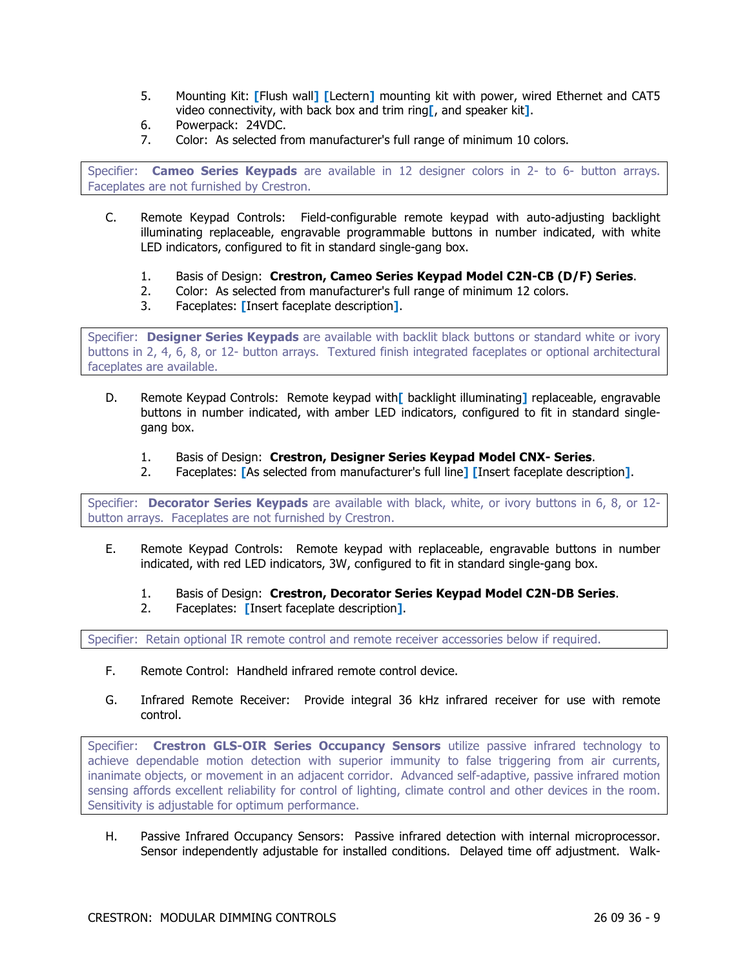- 5. Mounting Kit: **[**Flush wall**] [**Lectern**]** mounting kit with power, wired Ethernet and CAT5 video connectivity, with back box and trim ring**[**, and speaker kit**]**.
- 6. Powerpack: 24VDC.
- 7. Color: As selected from manufacturer's full range of minimum 10 colors.

Specifier: **Cameo Series Keypads** are available in 12 designer colors in 2- to 6- button arrays. Faceplates are not furnished by Crestron.

- C. Remote Keypad Controls: Field-configurable remote keypad with auto-adjusting backlight illuminating replaceable, engravable programmable buttons in number indicated, with white LED indicators, configured to fit in standard single-gang box.
	- 1. Basis of Design: **Crestron, Cameo Series Keypad Model C2N-CB (D/F) Series**.
	- 2. Color: As selected from manufacturer's full range of minimum 12 colors.
	- 3. Faceplates: **[**Insert faceplate description**]**.

Specifier: **Designer Series Keypads** are available with backlit black buttons or standard white or ivory buttons in 2, 4, 6, 8, or 12- button arrays. Textured finish integrated faceplates or optional architectural faceplates are available.

- D. Remote Keypad Controls: Remote keypad with**[** backlight illuminating**]** replaceable, engravable buttons in number indicated, with amber LED indicators, configured to fit in standard singlegang box.
	- 1. Basis of Design: **Crestron, Designer Series Keypad Model CNX- Series**.
	- 2. Faceplates: **[**As selected from manufacturer's full line**] [**Insert faceplate description**]**.

Specifier: **Decorator Series Keypads** are available with black, white, or ivory buttons in 6, 8, or 12 button arrays. Faceplates are not furnished by Crestron.

- E. Remote Keypad Controls: Remote keypad with replaceable, engravable buttons in number indicated, with red LED indicators, 3W, configured to fit in standard single-gang box.
	- 1. Basis of Design: **Crestron, Decorator Series Keypad Model C2N-DB Series**.
	- 2. Faceplates: **[**Insert faceplate description**]**.

Specifier: Retain optional IR remote control and remote receiver accessories below if required.

- F. Remote Control: Handheld infrared remote control device.
- G. Infrared Remote Receiver: Provide integral 36 kHz infrared receiver for use with remote control.

Specifier: **Crestron GLS-OIR Series Occupancy Sensors** utilize passive infrared technology to achieve dependable motion detection with superior immunity to false triggering from air currents, inanimate objects, or movement in an adjacent corridor. Advanced self-adaptive, passive infrared motion sensing affords excellent reliability for control of lighting, climate control and other devices in the room. Sensitivity is adjustable for optimum performance.

H. Passive Infrared Occupancy Sensors: Passive infrared detection with internal microprocessor. Sensor independently adjustable for installed conditions. Delayed time off adjustment. Walk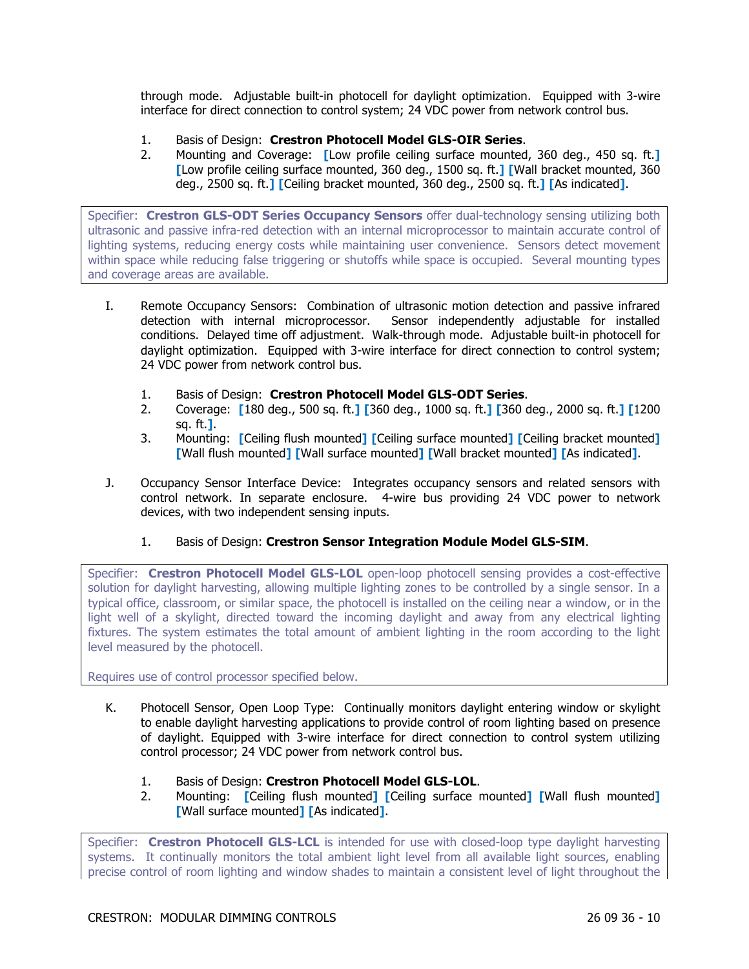through mode. Adjustable built-in photocell for daylight optimization. Equipped with 3-wire interface for direct connection to control system; 24 VDC power from network control bus.

- 1. Basis of Design: **Crestron Photocell Model GLS-OIR Series**.
- 2. Mounting and Coverage: **[**Low profile ceiling surface mounted, 360 deg., 450 sq. ft.**] [**Low profile ceiling surface mounted, 360 deg., 1500 sq. ft.**] [**Wall bracket mounted, 360 deg., 2500 sq. ft.**] [**Ceiling bracket mounted, 360 deg., 2500 sq. ft.**] [**As indicated**]**.

Specifier: **Crestron GLS-ODT Series Occupancy Sensors** offer dual-technology sensing utilizing both ultrasonic and passive infra-red detection with an internal microprocessor to maintain accurate control of lighting systems, reducing energy costs while maintaining user convenience. Sensors detect movement within space while reducing false triggering or shutoffs while space is occupied. Several mounting types and coverage areas are available.

- I. Remote Occupancy Sensors: Combination of ultrasonic motion detection and passive infrared detection with internal microprocessor. Sensor independently adjustable for installed conditions. Delayed time off adjustment. Walk-through mode. Adjustable built-in photocell for daylight optimization. Equipped with 3-wire interface for direct connection to control system; 24 VDC power from network control bus.
	- 1. Basis of Design: **Crestron Photocell Model GLS-ODT Series**.
	- 2. Coverage: **[**180 deg., 500 sq. ft.**] [**360 deg., 1000 sq. ft.**] [**360 deg., 2000 sq. ft.**] [**1200 sq. ft.**]**.
	- 3. Mounting: **[**Ceiling flush mounted**] [**Ceiling surface mounted**] [**Ceiling bracket mounted**] [**Wall flush mounted**] [**Wall surface mounted**] [**Wall bracket mounted**] [**As indicated**]**.
- J. Occupancy Sensor Interface Device: Integrates occupancy sensors and related sensors with control network. In separate enclosure. 4-wire bus providing 24 VDC power to network devices, with two independent sensing inputs.
	- 1. Basis of Design: **Crestron Sensor Integration Module Model GLS-SIM**.

Specifier: **Crestron Photocell Model GLS-LOL** open-loop photocell sensing provides a cost-effective solution for daylight harvesting, allowing multiple lighting zones to be controlled by a single sensor. In a typical office, classroom, or similar space, the photocell is installed on the ceiling near a window, or in the light well of a skylight, directed toward the incoming daylight and away from any electrical lighting fixtures. The system estimates the total amount of ambient lighting in the room according to the light level measured by the photocell.

Requires use of control processor specified below.

- K. Photocell Sensor, Open Loop Type: Continually monitors daylight entering window or skylight to enable daylight harvesting applications to provide control of room lighting based on presence of daylight. Equipped with 3-wire interface for direct connection to control system utilizing control processor; 24 VDC power from network control bus.
	- 1. Basis of Design: **Crestron Photocell Model GLS-LOL**.
	- 2. Mounting: **[**Ceiling flush mounted**] [**Ceiling surface mounted**] [**Wall flush mounted**] [**Wall surface mounted**] [**As indicated**]**.

Specifier: **Crestron Photocell GLS-LCL** is intended for use with closed-loop type daylight harvesting systems. It continually monitors the total ambient light level from all available light sources, enabling precise control of room lighting and window shades to maintain a consistent level of light throughout the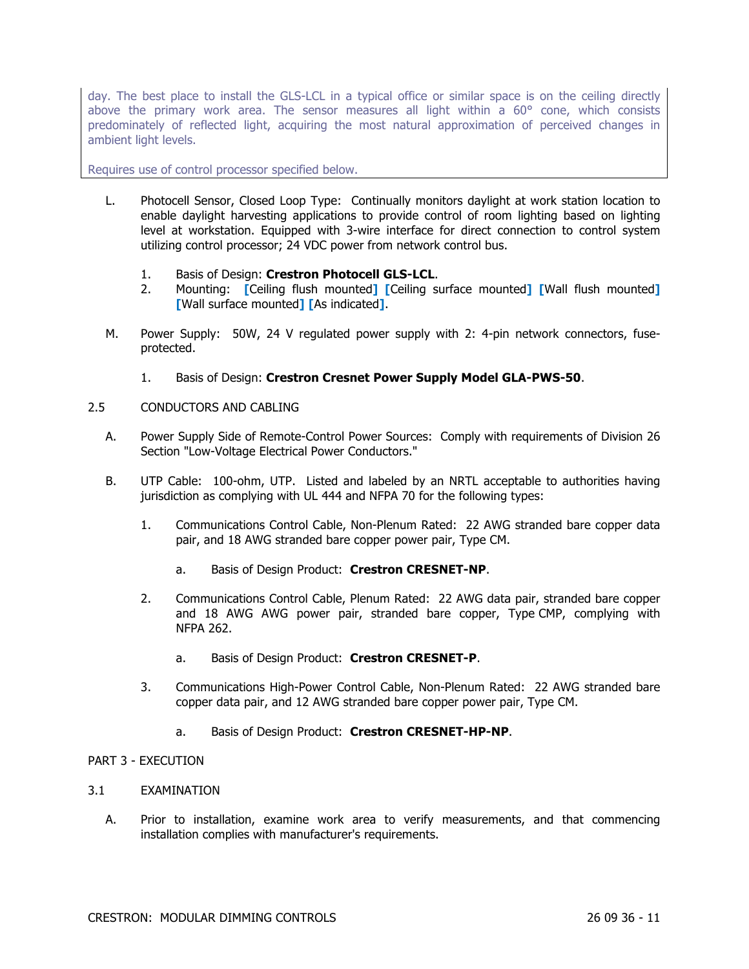day. The best place to install the GLS-LCL in a typical office or similar space is on the ceiling directly above the primary work area. The sensor measures all light within a 60° cone, which consists predominately of reflected light, acquiring the most natural approximation of perceived changes in ambient light levels.

Requires use of control processor specified below.

- L. Photocell Sensor, Closed Loop Type: Continually monitors daylight at work station location to enable daylight harvesting applications to provide control of room lighting based on lighting level at workstation. Equipped with 3-wire interface for direct connection to control system utilizing control processor; 24 VDC power from network control bus.
	- 1. Basis of Design: **Crestron Photocell GLS-LCL**.
	- 2. Mounting: **[**Ceiling flush mounted**] [**Ceiling surface mounted**] [**Wall flush mounted**] [**Wall surface mounted**] [**As indicated**]**.
- M. Power Supply: 50W, 24 V regulated power supply with 2: 4-pin network connectors, fuseprotected.
	- 1. Basis of Design: **Crestron Cresnet Power Supply Model GLA-PWS-50**.
- 2.5 CONDUCTORS AND CABLING
	- A. Power Supply Side of Remote-Control Power Sources: Comply with requirements of Division 26 Section "Low-Voltage Electrical Power Conductors."
	- B. UTP Cable: 100-ohm, UTP. Listed and labeled by an NRTL acceptable to authorities having jurisdiction as complying with UL 444 and NFPA 70 for the following types:
		- 1. Communications Control Cable, Non-Plenum Rated: 22 AWG stranded bare copper data pair, and 18 AWG stranded bare copper power pair, Type CM.
			- a. Basis of Design Product: **Crestron CRESNET-NP**.
		- 2. Communications Control Cable, Plenum Rated: 22 AWG data pair, stranded bare copper and 18 AWG AWG power pair, stranded bare copper, Type CMP, complying with NFPA 262.
			- a. Basis of Design Product: **Crestron CRESNET-P**.
		- 3. Communications High-Power Control Cable, Non-Plenum Rated: 22 AWG stranded bare copper data pair, and 12 AWG stranded bare copper power pair, Type CM.
			- a. Basis of Design Product: **Crestron CRESNET-HP-NP**.

## PART 3 - EXECUTION

### 3.1 EXAMINATION

A. Prior to installation, examine work area to verify measurements, and that commencing installation complies with manufacturer's requirements.